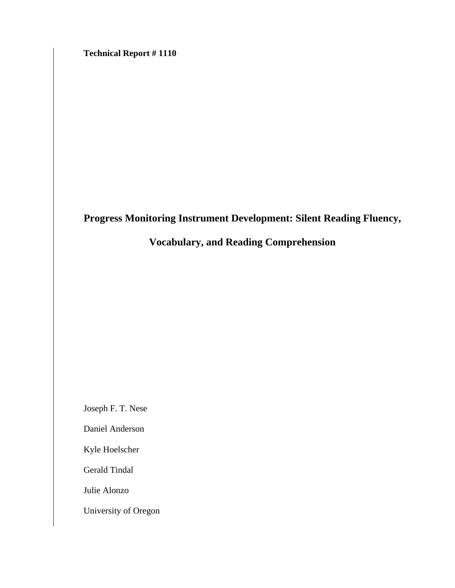**Technical Report # 1110** 

# **Progress Monitoring Instrument Development: Silent Reading Fluency,**

# **Vocabulary, and Reading Comprehension**

Joseph F. T. Nese

Daniel Anderson

Kyle Hoelscher

Gerald Tindal

Julie Alonzo

University of Oregon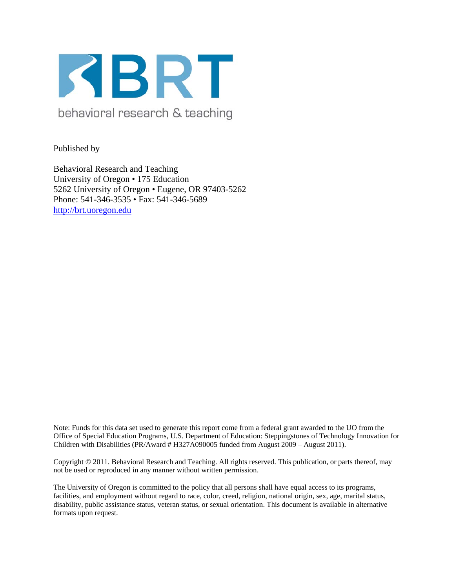

behavioral research & teaching

Published by

Behavioral Research and Teaching University of Oregon • 175 Education 5262 University of Oregon • Eugene, OR 97403-5262 Phone: 541-346-3535 • Fax: 541-346-5689 http://brt.uoregon.edu

Note: Funds for this data set used to generate this report come from a federal grant awarded to the UO from the Office of Special Education Programs, U.S. Department of Education: Steppingstones of Technology Innovation for Children with Disabilities (PR/Award # H327A090005 funded from August 2009 – August 2011).

Copyright © 2011. Behavioral Research and Teaching. All rights reserved. This publication, or parts thereof, may not be used or reproduced in any manner without written permission.

The University of Oregon is committed to the policy that all persons shall have equal access to its programs, facilities, and employment without regard to race, color, creed, religion, national origin, sex, age, marital status, disability, public assistance status, veteran status, or sexual orientation. This document is available in alternative formats upon request.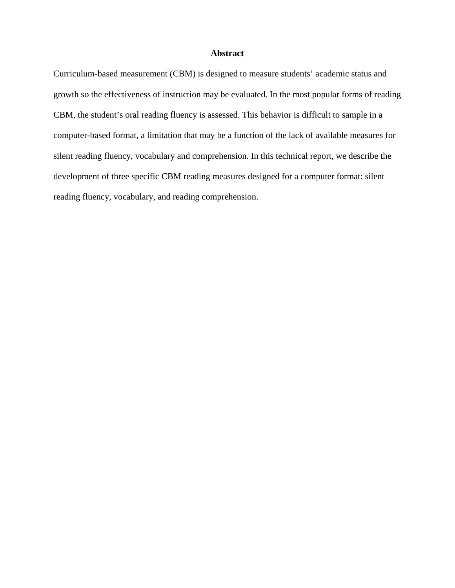# **Abstract**

Curriculum-based measurement (CBM) is designed to measure students' academic status and growth so the effectiveness of instruction may be evaluated. In the most popular forms of reading CBM, the student's oral reading fluency is assessed. This behavior is difficult to sample in a computer-based format, a limitation that may be a function of the lack of available measures for silent reading fluency, vocabulary and comprehension. In this technical report, we describe the development of three specific CBM reading measures designed for a computer format: silent reading fluency, vocabulary, and reading comprehension.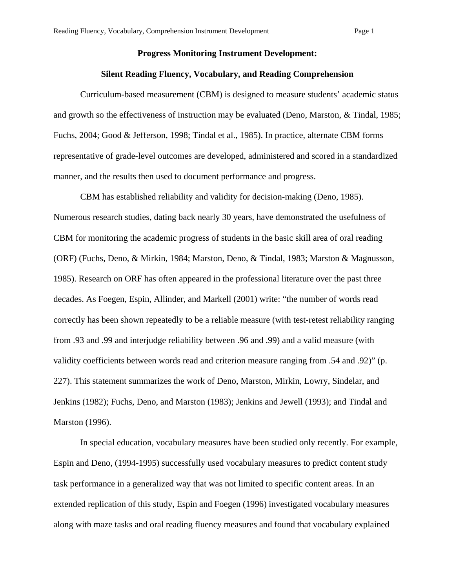# **Progress Monitoring Instrument Development:**

### **Silent Reading Fluency, Vocabulary, and Reading Comprehension**

Curriculum-based measurement (CBM) is designed to measure students' academic status and growth so the effectiveness of instruction may be evaluated (Deno, Marston, & Tindal, 1985; Fuchs, 2004; Good & Jefferson, 1998; Tindal et al., 1985). In practice, alternate CBM forms representative of grade-level outcomes are developed, administered and scored in a standardized manner, and the results then used to document performance and progress.

CBM has established reliability and validity for decision-making (Deno, 1985). Numerous research studies, dating back nearly 30 years, have demonstrated the usefulness of CBM for monitoring the academic progress of students in the basic skill area of oral reading (ORF) (Fuchs, Deno, & Mirkin, 1984; Marston, Deno, & Tindal, 1983; Marston & Magnusson, 1985). Research on ORF has often appeared in the professional literature over the past three decades. As Foegen, Espin, Allinder, and Markell (2001) write: "the number of words read correctly has been shown repeatedly to be a reliable measure (with test-retest reliability ranging from .93 and .99 and interjudge reliability between .96 and .99) and a valid measure (with validity coefficients between words read and criterion measure ranging from .54 and .92)" (p. 227). This statement summarizes the work of Deno, Marston, Mirkin, Lowry, Sindelar, and Jenkins (1982); Fuchs, Deno, and Marston (1983); Jenkins and Jewell (1993); and Tindal and Marston (1996).

In special education, vocabulary measures have been studied only recently. For example, Espin and Deno, (1994-1995) successfully used vocabulary measures to predict content study task performance in a generalized way that was not limited to specific content areas. In an extended replication of this study, Espin and Foegen (1996) investigated vocabulary measures along with maze tasks and oral reading fluency measures and found that vocabulary explained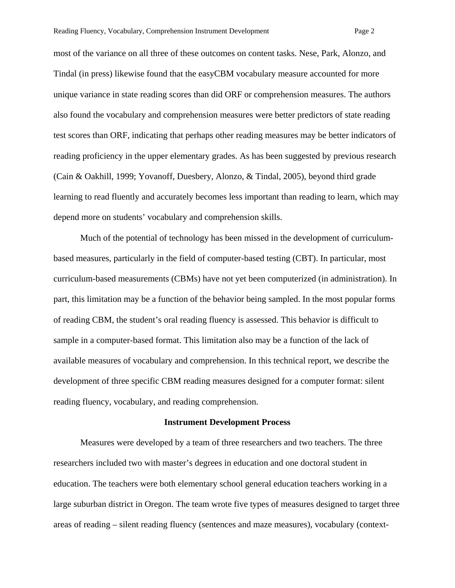most of the variance on all three of these outcomes on content tasks. Nese, Park, Alonzo, and Tindal (in press) likewise found that the easyCBM vocabulary measure accounted for more unique variance in state reading scores than did ORF or comprehension measures. The authors also found the vocabulary and comprehension measures were better predictors of state reading test scores than ORF, indicating that perhaps other reading measures may be better indicators of reading proficiency in the upper elementary grades. As has been suggested by previous research (Cain & Oakhill, 1999; Yovanoff, Duesbery, Alonzo, & Tindal, 2005), beyond third grade learning to read fluently and accurately becomes less important than reading to learn, which may depend more on students' vocabulary and comprehension skills.

Much of the potential of technology has been missed in the development of curriculumbased measures, particularly in the field of computer-based testing (CBT). In particular, most curriculum-based measurements (CBMs) have not yet been computerized (in administration). In part, this limitation may be a function of the behavior being sampled. In the most popular forms of reading CBM, the student's oral reading fluency is assessed. This behavior is difficult to sample in a computer-based format. This limitation also may be a function of the lack of available measures of vocabulary and comprehension. In this technical report, we describe the development of three specific CBM reading measures designed for a computer format: silent reading fluency, vocabulary, and reading comprehension.

#### **Instrument Development Process**

Measures were developed by a team of three researchers and two teachers. The three researchers included two with master's degrees in education and one doctoral student in education. The teachers were both elementary school general education teachers working in a large suburban district in Oregon. The team wrote five types of measures designed to target three areas of reading – silent reading fluency (sentences and maze measures), vocabulary (context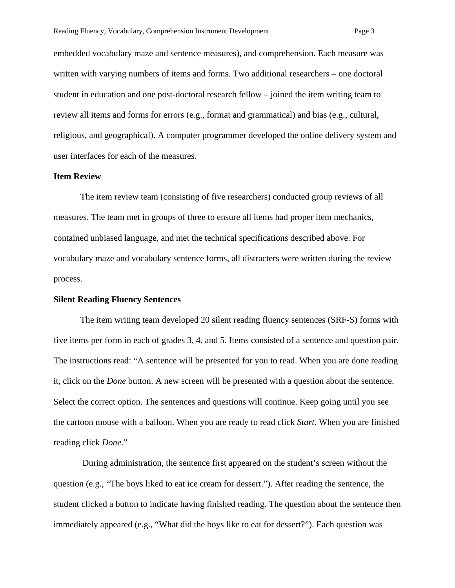embedded vocabulary maze and sentence measures), and comprehension. Each measure was written with varying numbers of items and forms. Two additional researchers – one doctoral student in education and one post-doctoral research fellow – joined the item writing team to review all items and forms for errors (e.g., format and grammatical) and bias (e.g., cultural, religious, and geographical). A computer programmer developed the online delivery system and user interfaces for each of the measures.

#### **Item Review**

 The item review team (consisting of five researchers) conducted group reviews of all measures. The team met in groups of three to ensure all items had proper item mechanics, contained unbiased language, and met the technical specifications described above. For vocabulary maze and vocabulary sentence forms, all distracters were written during the review process.

# **Silent Reading Fluency Sentences**

The item writing team developed 20 silent reading fluency sentences (SRF-S) forms with five items per form in each of grades 3, 4, and 5. Items consisted of a sentence and question pair. The instructions read: "A sentence will be presented for you to read. When you are done reading it, click on the *Done* button. A new screen will be presented with a question about the sentence. Select the correct option. The sentences and questions will continue. Keep going until you see the cartoon mouse with a balloon. When you are ready to read click *Start*. When you are finished reading click *Done*."

 During administration, the sentence first appeared on the student's screen without the question (e.g., "The boys liked to eat ice cream for dessert."). After reading the sentence, the student clicked a button to indicate having finished reading. The question about the sentence then immediately appeared (e.g., "What did the boys like to eat for dessert?"). Each question was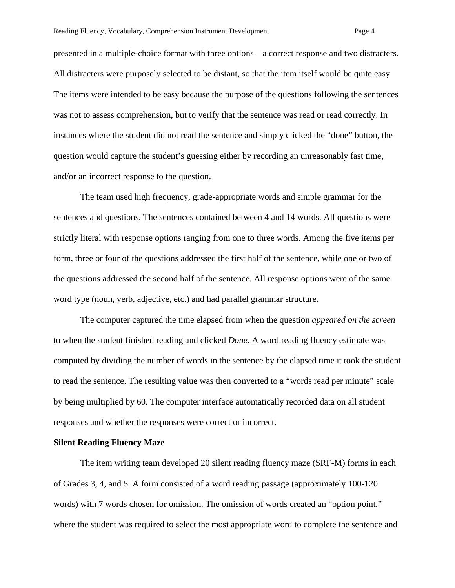presented in a multiple-choice format with three options – a correct response and two distracters. All distracters were purposely selected to be distant, so that the item itself would be quite easy. The items were intended to be easy because the purpose of the questions following the sentences was not to assess comprehension, but to verify that the sentence was read or read correctly. In instances where the student did not read the sentence and simply clicked the "done" button, the question would capture the student's guessing either by recording an unreasonably fast time, and/or an incorrect response to the question.

The team used high frequency, grade-appropriate words and simple grammar for the sentences and questions. The sentences contained between 4 and 14 words. All questions were strictly literal with response options ranging from one to three words. Among the five items per form, three or four of the questions addressed the first half of the sentence, while one or two of the questions addressed the second half of the sentence. All response options were of the same word type (noun, verb, adjective, etc.) and had parallel grammar structure.

The computer captured the time elapsed from when the question *appeared on the screen* to when the student finished reading and clicked *Done*. A word reading fluency estimate was computed by dividing the number of words in the sentence by the elapsed time it took the student to read the sentence. The resulting value was then converted to a "words read per minute" scale by being multiplied by 60. The computer interface automatically recorded data on all student responses and whether the responses were correct or incorrect.

#### **Silent Reading Fluency Maze**

 The item writing team developed 20 silent reading fluency maze (SRF-M) forms in each of Grades 3, 4, and 5. A form consisted of a word reading passage (approximately 100-120 words) with 7 words chosen for omission. The omission of words created an "option point," where the student was required to select the most appropriate word to complete the sentence and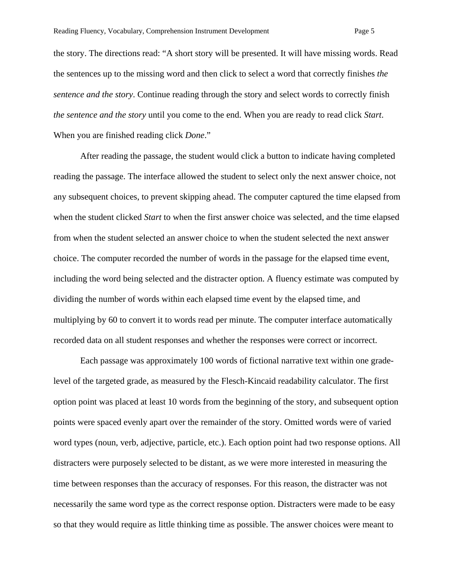the story. The directions read: "A short story will be presented. It will have missing words. Read the sentences up to the missing word and then click to select a word that correctly finishes *the sentence and the story*. Continue reading through the story and select words to correctly finish *the sentence and the story* until you come to the end. When you are ready to read click *Start*. When you are finished reading click *Done*."

After reading the passage, the student would click a button to indicate having completed reading the passage. The interface allowed the student to select only the next answer choice, not any subsequent choices, to prevent skipping ahead. The computer captured the time elapsed from when the student clicked *Start* to when the first answer choice was selected, and the time elapsed from when the student selected an answer choice to when the student selected the next answer choice. The computer recorded the number of words in the passage for the elapsed time event, including the word being selected and the distracter option. A fluency estimate was computed by dividing the number of words within each elapsed time event by the elapsed time, and multiplying by 60 to convert it to words read per minute. The computer interface automatically recorded data on all student responses and whether the responses were correct or incorrect.

 Each passage was approximately 100 words of fictional narrative text within one gradelevel of the targeted grade, as measured by the Flesch-Kincaid readability calculator. The first option point was placed at least 10 words from the beginning of the story, and subsequent option points were spaced evenly apart over the remainder of the story. Omitted words were of varied word types (noun, verb, adjective, particle, etc.). Each option point had two response options. All distracters were purposely selected to be distant, as we were more interested in measuring the time between responses than the accuracy of responses. For this reason, the distracter was not necessarily the same word type as the correct response option. Distracters were made to be easy so that they would require as little thinking time as possible. The answer choices were meant to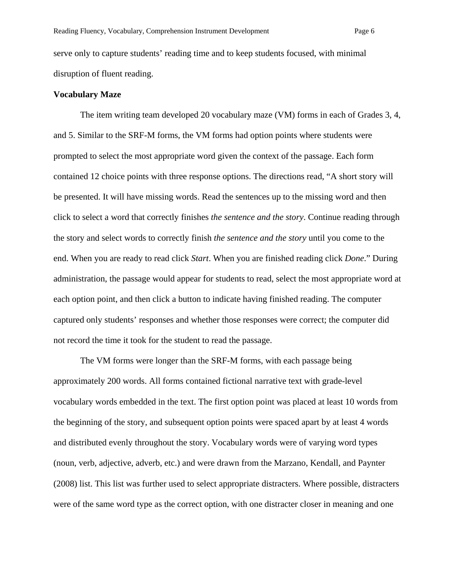serve only to capture students' reading time and to keep students focused, with minimal disruption of fluent reading.

#### **Vocabulary Maze**

The item writing team developed 20 vocabulary maze (VM) forms in each of Grades 3, 4, and 5. Similar to the SRF-M forms, the VM forms had option points where students were prompted to select the most appropriate word given the context of the passage. Each form contained 12 choice points with three response options. The directions read, "A short story will be presented. It will have missing words. Read the sentences up to the missing word and then click to select a word that correctly finishes *the sentence and the story*. Continue reading through the story and select words to correctly finish *the sentence and the story* until you come to the end. When you are ready to read click *Start*. When you are finished reading click *Done*." During administration, the passage would appear for students to read, select the most appropriate word at each option point, and then click a button to indicate having finished reading. The computer captured only students' responses and whether those responses were correct; the computer did not record the time it took for the student to read the passage.

The VM forms were longer than the SRF-M forms, with each passage being approximately 200 words. All forms contained fictional narrative text with grade-level vocabulary words embedded in the text. The first option point was placed at least 10 words from the beginning of the story, and subsequent option points were spaced apart by at least 4 words and distributed evenly throughout the story. Vocabulary words were of varying word types (noun, verb, adjective, adverb, etc.) and were drawn from the Marzano, Kendall, and Paynter (2008) list. This list was further used to select appropriate distracters. Where possible, distracters were of the same word type as the correct option, with one distracter closer in meaning and one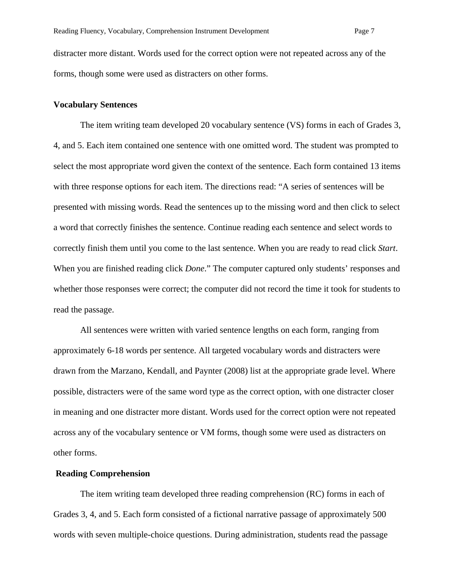distracter more distant. Words used for the correct option were not repeated across any of the forms, though some were used as distracters on other forms.

### **Vocabulary Sentences**

The item writing team developed 20 vocabulary sentence (VS) forms in each of Grades 3, 4, and 5. Each item contained one sentence with one omitted word. The student was prompted to select the most appropriate word given the context of the sentence. Each form contained 13 items with three response options for each item. The directions read: "A series of sentences will be presented with missing words. Read the sentences up to the missing word and then click to select a word that correctly finishes the sentence. Continue reading each sentence and select words to correctly finish them until you come to the last sentence. When you are ready to read click *Start*. When you are finished reading click *Done*." The computer captured only students' responses and whether those responses were correct; the computer did not record the time it took for students to read the passage.

All sentences were written with varied sentence lengths on each form, ranging from approximately 6-18 words per sentence. All targeted vocabulary words and distracters were drawn from the Marzano, Kendall, and Paynter (2008) list at the appropriate grade level. Where possible, distracters were of the same word type as the correct option, with one distracter closer in meaning and one distracter more distant. Words used for the correct option were not repeated across any of the vocabulary sentence or VM forms, though some were used as distracters on other forms.

# **Reading Comprehension**

The item writing team developed three reading comprehension (RC) forms in each of Grades 3, 4, and 5. Each form consisted of a fictional narrative passage of approximately 500 words with seven multiple-choice questions. During administration, students read the passage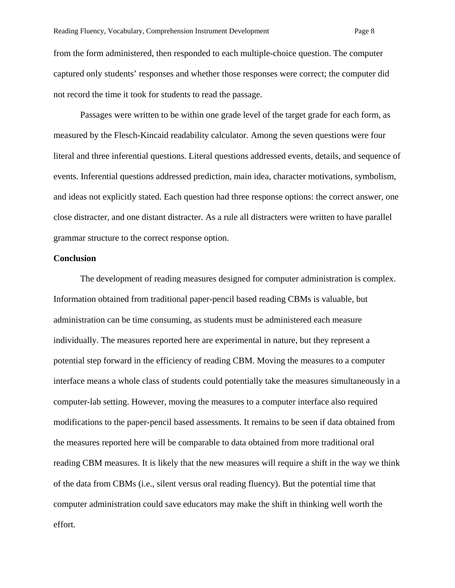from the form administered, then responded to each multiple-choice question. The computer captured only students' responses and whether those responses were correct; the computer did not record the time it took for students to read the passage.

Passages were written to be within one grade level of the target grade for each form, as measured by the Flesch-Kincaid readability calculator. Among the seven questions were four literal and three inferential questions. Literal questions addressed events, details, and sequence of events. Inferential questions addressed prediction, main idea, character motivations, symbolism, and ideas not explicitly stated. Each question had three response options: the correct answer, one close distracter, and one distant distracter. As a rule all distracters were written to have parallel grammar structure to the correct response option.

# **Conclusion**

The development of reading measures designed for computer administration is complex. Information obtained from traditional paper-pencil based reading CBMs is valuable, but administration can be time consuming, as students must be administered each measure individually. The measures reported here are experimental in nature, but they represent a potential step forward in the efficiency of reading CBM. Moving the measures to a computer interface means a whole class of students could potentially take the measures simultaneously in a computer-lab setting. However, moving the measures to a computer interface also required modifications to the paper-pencil based assessments. It remains to be seen if data obtained from the measures reported here will be comparable to data obtained from more traditional oral reading CBM measures. It is likely that the new measures will require a shift in the way we think of the data from CBMs (i.e., silent versus oral reading fluency). But the potential time that computer administration could save educators may make the shift in thinking well worth the effort.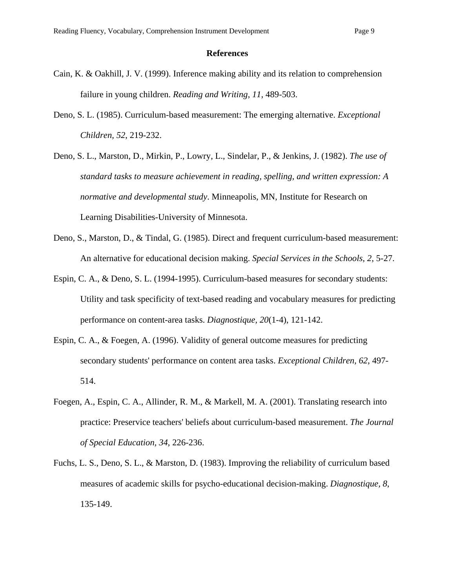### **References**

- Cain, K. & Oakhill, J. V. (1999). Inference making ability and its relation to comprehension failure in young children. *Reading and Writing, 11,* 489-503.
- Deno, S. L. (1985). Curriculum-based measurement: The emerging alternative. *Exceptional Children, 52*, 219-232.
- Deno, S. L., Marston, D., Mirkin, P., Lowry, L., Sindelar, P., & Jenkins, J. (1982). *The use of standard tasks to measure achievement in reading, spelling, and written expression: A normative and developmental study*. Minneapolis, MN, Institute for Research on Learning Disabilities-University of Minnesota.
- Deno, S., Marston, D., & Tindal, G. (1985). Direct and frequent curriculum-based measurement: An alternative for educational decision making. *Special Services in the Schools, 2*, 5-27.
- Espin, C. A., & Deno, S. L. (1994-1995). Curriculum-based measures for secondary students: Utility and task specificity of text-based reading and vocabulary measures for predicting performance on content-area tasks. *Diagnostique, 20*(1-4), 121-142.
- Espin, C. A., & Foegen, A. (1996). Validity of general outcome measures for predicting secondary students' performance on content area tasks. *Exceptional Children, 62*, 497- 514.
- Foegen, A., Espin, C. A., Allinder, R. M., & Markell, M. A. (2001). Translating research into practice: Preservice teachers' beliefs about curriculum-based measurement. *The Journal of Special Education, 34*, 226-236.
- Fuchs, L. S., Deno, S. L., & Marston, D. (1983). Improving the reliability of curriculum based measures of academic skills for psycho-educational decision-making. *Diagnostique, 8*, 135-149.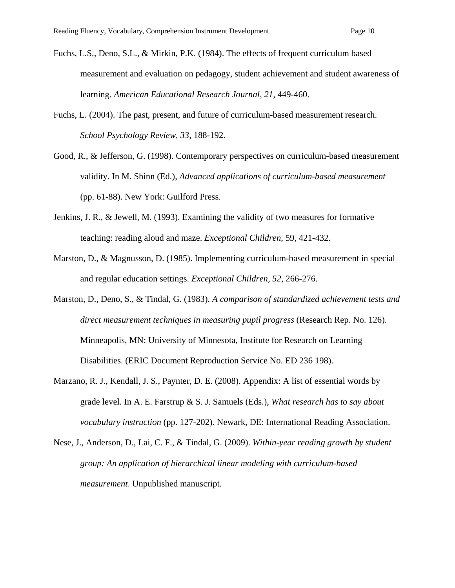- Fuchs, L.S., Deno, S.L., & Mirkin, P.K. (1984). The effects of frequent curriculum based measurement and evaluation on pedagogy, student achievement and student awareness of learning. *American Educational Research Journal, 21,* 449-460.
- Fuchs, L. (2004). The past, present, and future of curriculum-based measurement research. *School Psychology Review, 33*, 188-192.
- Good, R., & Jefferson, G. (1998). Contemporary perspectives on curriculum-based measurement validity. In M. Shinn (Ed.), *Advanced applications of curriculum-based measurement* (pp. 61-88). New York: Guilford Press.
- Jenkins, J. R., & Jewell, M. (1993). Examining the validity of two measures for formative teaching: reading aloud and maze. *Exceptional Children,* 59, 421-432.
- Marston, D., & Magnusson, D. (1985). Implementing curriculum-based measurement in special and regular education settings. *Exceptional Children, 52*, 266-276.
- Marston, D., Deno, S., & Tindal, G. (1983). *A comparison of standardized achievement tests and direct measurement techniques in measuring pupil progress* (Research Rep. No. 126). Minneapolis, MN: University of Minnesota, Institute for Research on Learning Disabilities. (ERIC Document Reproduction Service No. ED 236 198).
- Marzano, R. J., Kendall, J. S., Paynter, D. E. (2008). Appendix: A list of essential words by grade level. In A. E. Farstrup & S. J. Samuels (Eds.), *What research has to say about vocabulary instruction* (pp. 127-202). Newark, DE: International Reading Association.
- Nese, J., Anderson, D., Lai, C. F., & Tindal, G. (2009). *Within-year reading growth by student group: An application of hierarchical linear modeling with curriculum-based measurement*. Unpublished manuscript.